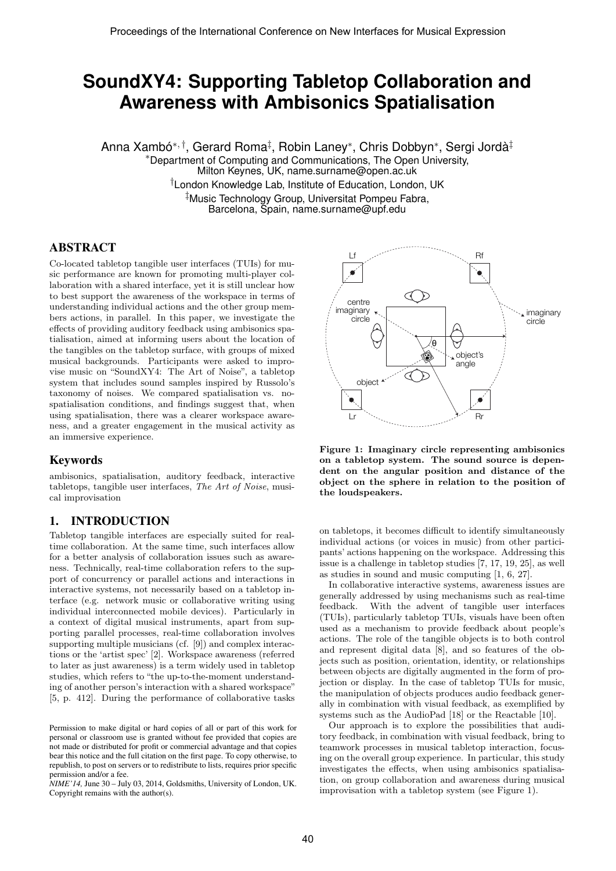# **SoundXY4: Supporting Tabletop Collaboration and Awareness with Ambisonics Spatialisation**

Anna Xambó\*<sup>, †</sup>, Gerard Roma<sup>‡</sup>, Robin Laney\*, Chris Dobbyn\*, Sergi Jordà<sup>‡</sup>

<sup>∗</sup>Department of Computing and Communications, The Open University, Milton Keynes, UK, name.surname@open.ac.uk †London Knowledge Lab, Institute of Education, London, UK ‡Music Technology Group, Universitat Pompeu Fabra, Barcelona, Spain, name.surname@upf.edu

#### ABSTRACT

Co-located tabletop tangible user interfaces (TUIs) for music performance are known for promoting multi-player collaboration with a shared interface, yet it is still unclear how to best support the awareness of the workspace in terms of understanding individual actions and the other group members actions, in parallel. In this paper, we investigate the effects of providing auditory feedback using ambisonics spatialisation, aimed at informing users about the location of the tangibles on the tabletop surface, with groups of mixed musical backgrounds. Participants were asked to improvise music on "SoundXY4: The Art of Noise", a tabletop system that includes sound samples inspired by Russolo's taxonomy of noises. We compared spatialisation vs. nospatialisation conditions, and findings suggest that, when using spatialisation, there was a clearer workspace awareness, and a greater engagement in the musical activity as an immersive experience.

#### Keywords

ambisonics, spatialisation, auditory feedback, interactive tabletops, tangible user interfaces, The Art of Noise, musical improvisation

#### 1. INTRODUCTION

Tabletop tangible interfaces are especially suited for realtime collaboration. At the same time, such interfaces allow for a better analysis of collaboration issues such as awareness. Technically, real-time collaboration refers to the support of concurrency or parallel actions and interactions in interactive systems, not necessarily based on a tabletop interface (e.g. network music or collaborative writing using individual interconnected mobile devices). Particularly in a context of digital musical instruments, apart from supporting parallel processes, real-time collaboration involves supporting multiple musicians (cf. [9]) and complex interactions or the 'artist spec' [2]. Workspace awareness (referred to later as just awareness) is a term widely used in tabletop studies, which refers to "the up-to-the-moment understanding of another person's interaction with a shared workspace" [5, p. 412]. During the performance of collaborative tasks

*NIME'14,* June 30 – July 03, 2014, Goldsmiths, University of London, UK. Copyright remains with the author(s).



Figure 1: Imaginary circle representing ambisonics on a tabletop system. The sound source is dependent on the angular position and distance of the object on the sphere in relation to the position of the loudspeakers.

on tabletops, it becomes difficult to identify simultaneously individual actions (or voices in music) from other participants' actions happening on the workspace. Addressing this issue is a challenge in tabletop studies [7, 17, 19, 25], as well as studies in sound and music computing [1, 6, 27].

In collaborative interactive systems, awareness issues are generally addressed by using mechanisms such as real-time feedback. With the advent of tangible user interfaces (TUIs), particularly tabletop TUIs, visuals have been often used as a mechanism to provide feedback about people's actions. The role of the tangible objects is to both control and represent digital data [8], and so features of the objects such as position, orientation, identity, or relationships between objects are digitally augmented in the form of projection or display. In the case of tabletop TUIs for music, the manipulation of objects produces audio feedback generally in combination with visual feedback, as exemplified by systems such as the AudioPad [18] or the Reactable [10].

Our approach is to explore the possibilities that auditory feedback, in combination with visual feedback, bring to teamwork processes in musical tabletop interaction, focusing on the overall group experience. In particular, this study investigates the effects, when using ambisonics spatialisation, on group collaboration and awareness during musical improvisation with a tabletop system (see Figure 1).

Permission to make digital or hard copies of all or part of this work for personal or classroom use is granted without fee provided that copies are not made or distributed for profit or commercial advantage and that copies bear this notice and the full citation on the first page. To copy otherwise, to republish, to post on servers or to redistribute to lists, requires prior specific permission and/or a fee.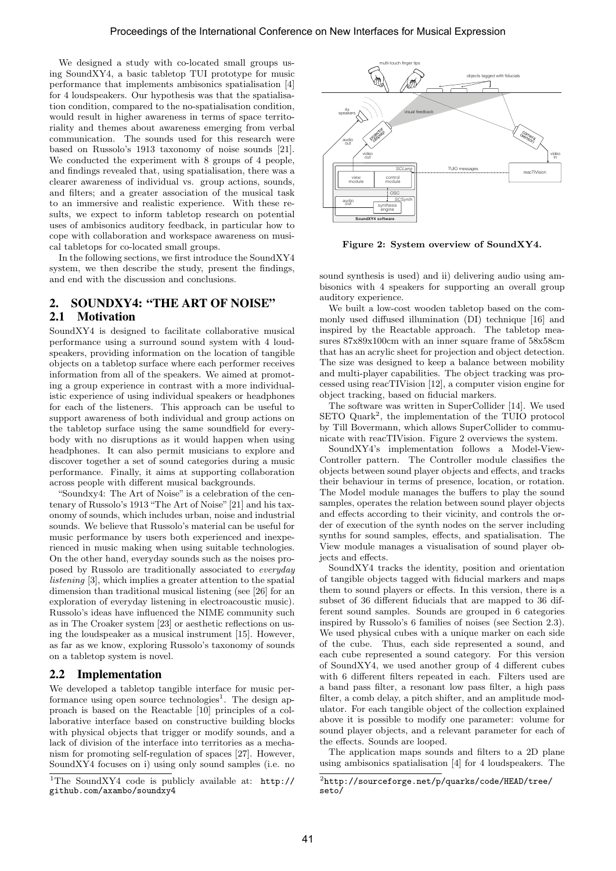We designed a study with co-located small groups using SoundXY4, a basic tabletop TUI prototype for music performance that implements ambisonics spatialisation [4] for 4 loudspeakers. Our hypothesis was that the spatialisation condition, compared to the no-spatialisation condition, would result in higher awareness in terms of space territoriality and themes about awareness emerging from verbal communication. The sounds used for this research were based on Russolo's 1913 taxonomy of noise sounds [21]. We conducted the experiment with 8 groups of 4 people, and findings revealed that, using spatialisation, there was a clearer awareness of individual vs. group actions, sounds, and filters; and a greater association of the musical task to an immersive and realistic experience. With these results, we expect to inform tabletop research on potential uses of ambisonics auditory feedback, in particular how to cope with collaboration and workspace awareness on musical tabletops for co-located small groups.

In the following sections, we first introduce the SoundXY4 system, we then describe the study, present the findings, and end with the discussion and conclusions.

# 2. SOUNDXY4: "THE ART OF NOISE" 2.1 Motivation

SoundXY4 is designed to facilitate collaborative musical performance using a surround sound system with 4 loudspeakers, providing information on the location of tangible objects on a tabletop surface where each performer receives information from all of the speakers. We aimed at promoting a group experience in contrast with a more individualistic experience of using individual speakers or headphones for each of the listeners. This approach can be useful to support awareness of both individual and group actions on the tabletop surface using the same soundfield for everybody with no disruptions as it would happen when using headphones. It can also permit musicians to explore and discover together a set of sound categories during a music performance. Finally, it aims at supporting collaboration across people with different musical backgrounds.

"Soundxy4: The Art of Noise" is a celebration of the centenary of Russolo's 1913 "The Art of Noise"[21] and his taxonomy of sounds, which includes urban, noise and industrial sounds. We believe that Russolo's material can be useful for music performance by users both experienced and inexperienced in music making when using suitable technologies. On the other hand, everyday sounds such as the noises proposed by Russolo are traditionally associated to everyday listening [3], which implies a greater attention to the spatial dimension than traditional musical listening (see [26] for an exploration of everyday listening in electroacoustic music). Russolo's ideas have influenced the NIME community such as in The Croaker system [23] or aesthetic reflections on using the loudspeaker as a musical instrument [15]. However, as far as we know, exploring Russolo's taxonomy of sounds on a tabletop system is novel.

#### 2.2 Implementation

We developed a tabletop tangible interface for music performance using open source technologies<sup>1</sup>. The design approach is based on the Reactable [10] principles of a collaborative interface based on constructive building blocks with physical objects that trigger or modify sounds, and a lack of division of the interface into territories as a mechanism for promoting self-regulation of spaces [27]. However, SoundXY4 focuses on i) using only sound samples (i.e. no



Figure 2: System overview of SoundXY4.

sound synthesis is used) and ii) delivering audio using ambisonics with 4 speakers for supporting an overall group auditory experience.

We built a low-cost wooden tabletop based on the commonly used diffused illumination (DI) technique [16] and inspired by the Reactable approach. The tabletop measures 87x89x100cm with an inner square frame of 58x58cm that has an acrylic sheet for projection and object detection. The size was designed to keep a balance between mobility and multi-player capabilities. The object tracking was processed using reacTIVision [12], a computer vision engine for object tracking, based on fiducial markers.

The software was written in SuperCollider [14]. We used SETO Quark<sup>2</sup>, the implementation of the TUIO protocol by Till Bovermann, which allows SuperCollider to communicate with reacTIVision. Figure 2 overviews the system.

SoundXY4's implementation follows a Model-View-Controller pattern. The Controller module classifies the objects between sound player objects and effects, and tracks their behaviour in terms of presence, location, or rotation. The Model module manages the buffers to play the sound samples, operates the relation between sound player objects and effects according to their vicinity, and controls the order of execution of the synth nodes on the server including synths for sound samples, effects, and spatialisation. The View module manages a visualisation of sound player objects and effects.

SoundXY4 tracks the identity, position and orientation of tangible objects tagged with fiducial markers and maps them to sound players or effects. In this version, there is a subset of 36 different fiducials that are mapped to 36 different sound samples. Sounds are grouped in 6 categories inspired by Russolo's 6 families of noises (see Section 2.3). We used physical cubes with a unique marker on each side of the cube. Thus, each side represented a sound, and each cube represented a sound category. For this version of SoundXY4, we used another group of 4 different cubes with 6 different filters repeated in each. Filters used are a band pass filter, a resonant low pass filter, a high pass filter, a comb delay, a pitch shifter, and an amplitude modulator. For each tangible object of the collection explained above it is possible to modify one parameter: volume for sound player objects, and a relevant parameter for each of the effects. Sounds are looped.

The application maps sounds and filters to a 2D plane using ambisonics spatialisation [4] for 4 loudspeakers. The

<sup>1</sup>The SoundXY4 code is publicly available at: http:// github.com/axambo/soundxy4

 $^2$ http://sourceforge.net/p/quarks/code/HEAD/tree/ seto/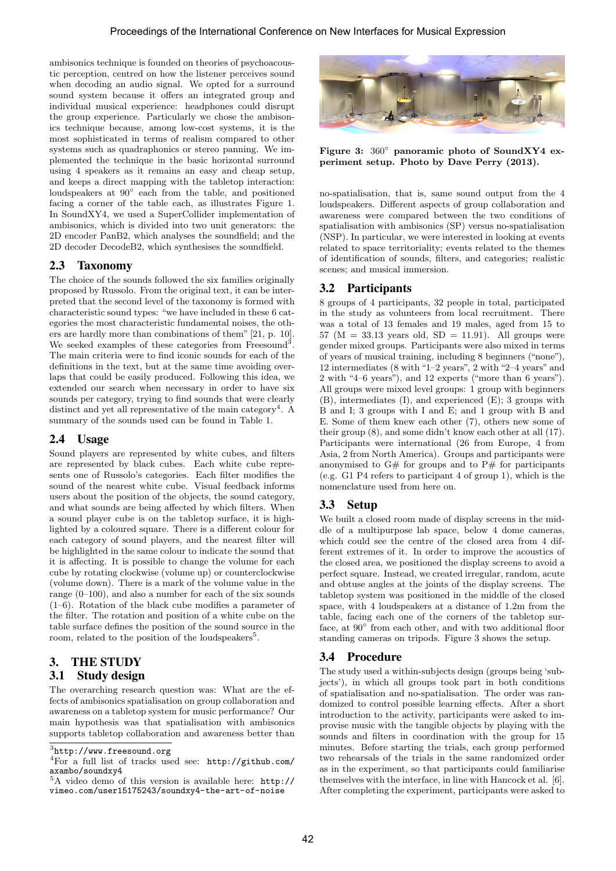ambisonics technique is founded on theories of psychoacoustic perception, centred on how the listener perceives sound when decoding an audio signal. We opted for a surround sound system because it offers an integrated group and individual musical experience: headphones could disrupt the group experience. Particularly we chose the ambisonics technique because, among low-cost systems, it is the most sophisticated in terms of realism compared to other systems such as quadraphonics or stereo panning. We implemented the technique in the basic horizontal surround using 4 speakers as it remains an easy and cheap setup, and keeps a direct mapping with the tabletop interaction: loudspeakers at 90° each from the table, and positioned facing a corner of the table each, as illustrates Figure 1. In SoundXY4, we used a SuperCollider implementation of ambisonics, which is divided into two unit generators: the 2D encoder PanB2, which analyses the soundfield; and the 2D decoder DecodeB2, which synthesises the soundfield.

# 2.3 Taxonomy

The choice of the sounds followed the six families originally proposed by Russolo. From the original text, it can be interpreted that the second level of the taxonomy is formed with characteristic sound types: "we have included in these 6 categories the most characteristic fundamental noises, the others are hardly more than combinations of them" [21, p. 10]. We seeked examples of these categories from Freesound<sup>3</sup>. The main criteria were to find iconic sounds for each of the definitions in the text, but at the same time avoiding overlaps that could be easily produced. Following this idea, we extended our search when necessary in order to have six sounds per category, trying to find sounds that were clearly distinct and yet all representative of the main category<sup>4</sup>. A summary of the sounds used can be found in Table 1.

# 2.4 Usage

Sound players are represented by white cubes, and filters are represented by black cubes. Each white cube represents one of Russolo's categories. Each filter modifies the sound of the nearest white cube. Visual feedback informs users about the position of the objects, the sound category, and what sounds are being affected by which filters. When a sound player cube is on the tabletop surface, it is highlighted by a coloured square. There is a different colour for each category of sound players, and the nearest filter will be highlighted in the same colour to indicate the sound that it is affecting. It is possible to change the volume for each cube by rotating clockwise (volume up) or counterclockwise (volume down). There is a mark of the volume value in the range (0–100), and also a number for each of the six sounds (1–6). Rotation of the black cube modifies a parameter of the filter. The rotation and position of a white cube on the table surface defines the position of the sound source in the room, related to the position of the loudspeakers<sup>5</sup>.

# 3. THE STUDY 3.1 Study design

The overarching research question was: What are the effects of ambisonics spatialisation on group collaboration and awareness on a tabletop system for music performance? Our main hypothesis was that spatialisation with ambisonics supports tabletop collaboration and awareness better than



Figure 3: 360◦ panoramic photo of SoundXY4 experiment setup. Photo by Dave Perry (2013).

no-spatialisation, that is, same sound output from the 4 loudspeakers. Different aspects of group collaboration and awareness were compared between the two conditions of spatialisation with ambisonics (SP) versus no-spatialisation (NSP). In particular, we were interested in looking at events related to space territoriality; events related to the themes of identification of sounds, filters, and categories; realistic scenes; and musical immersion.

# 3.2 Participants

8 groups of 4 participants, 32 people in total, participated in the study as volunteers from local recruitment. There was a total of 13 females and 19 males, aged from 15 to 57 ( $M = 33.13$  years old,  $SD = 11.91$ ). All groups were gender mixed groups. Participants were also mixed in terms of years of musical training, including 8 beginners ("none"), 12 intermediates (8 with "1–2 years", 2 with "2–4 years" and 2 with "4–6 years"), and 12 experts ("more than 6 years"). All groups were mixed level groups: 1 group with beginners (B), intermediates (I), and experienced (E); 3 groups with B and I; 3 groups with I and E; and 1 group with B and E. Some of them knew each other (7), others new some of their group (8), and some didn't know each other at all (17). Participants were international (26 from Europe, 4 from Asia, 2 from North America). Groups and participants were anonymised to  $G#$  for groups and to  $P#$  for participants (e.g. G1 P4 refers to participant 4 of group 1), which is the nomenclature used from here on.

# 3.3 Setup

We built a closed room made of display screens in the middle of a multipurpose lab space, below 4 dome cameras, which could see the centre of the closed area from 4 different extremes of it. In order to improve the acoustics of the closed area, we positioned the display screens to avoid a perfect square. Instead, we created irregular, random, acute and obtuse angles at the joints of the display screens. The tabletop system was positioned in the middle of the closed space, with 4 loudspeakers at a distance of 1.2m from the table, facing each one of the corners of the tabletop surface, at 90 $^{\circ}$  from each other, and with two additional floor standing cameras on tripods. Figure 3 shows the setup.

# 3.4 Procedure

The study used a within-subjects design (groups being 'subjects'), in which all groups took part in both conditions of spatialisation and no-spatialisation. The order was randomized to control possible learning effects. After a short introduction to the activity, participants were asked to improvise music with the tangible objects by playing with the sounds and filters in coordination with the group for 15 minutes. Before starting the trials, each group performed two rehearsals of the trials in the same randomized order as in the experiment, so that participants could familiarise themselves with the interface, in line with Hancock et al. [6]. After completing the experiment, participants were asked to

 $^3$ http://www.freesound.org

<sup>4</sup>For a full list of tracks used see: http://github.com/ axambo/soundxy4

<sup>5</sup>A video demo of this version is available here: http:// vimeo.com/user15175243/soundxy4-the-art-of-noise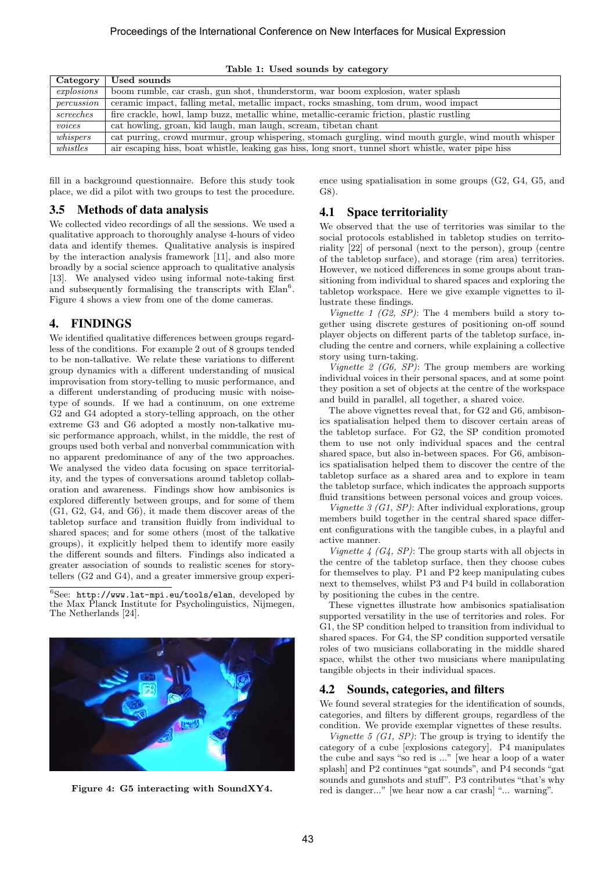| Category     | Used sounds                                                                                          |
|--------------|------------------------------------------------------------------------------------------------------|
| explosions   | boom rumble, car crash, gun shot, thunderstorm, war boom explosion, water splash                     |
| percussion   | ceramic impact, falling metal, metallic impact, rocks smashing, tom drum, wood impact                |
| $s$ creeches | fire crackle, howl, lamp buzz, metallic whine, metallic-ceramic friction, plastic rustling           |
| voices       | cat howling, groan, kid laugh, man laugh, scream, tibetan chant                                      |
| whipspers    | cat purring, crowd murmur, group whispering, stomach gurgling, wind mouth gurgle, wind mouth whisper |
| whistles     | air escaping hiss, boat whistle, leaking gas hiss, long snort, tunnel short whistle, water pipe hiss |

Table 1: Used sounds by category

fill in a background questionnaire. Before this study took place, we did a pilot with two groups to test the procedure.

#### 3.5 Methods of data analysis

We collected video recordings of all the sessions. We used a qualitative approach to thoroughly analyse 4-hours of video data and identify themes. Qualitative analysis is inspired by the interaction analysis framework [11], and also more broadly by a social science approach to qualitative analysis [13]. We analysed video using informal note-taking first and subsequently formalising the transcripts with  $Elan<sup>6</sup>$ . Figure 4 shows a view from one of the dome cameras.

#### 4. FINDINGS

We identified qualitative differences between groups regardless of the conditions. For example 2 out of 8 groups tended to be non-talkative. We relate these variations to different group dynamics with a different understanding of musical improvisation from story-telling to music performance, and a different understanding of producing music with noisetype of sounds. If we had a continuum, on one extreme G2 and G4 adopted a story-telling approach, on the other extreme G3 and G6 adopted a mostly non-talkative music performance approach, whilst, in the middle, the rest of groups used both verbal and nonverbal communication with no apparent predominance of any of the two approaches. We analysed the video data focusing on space territoriality, and the types of conversations around tabletop collaboration and awareness. Findings show how ambisonics is explored differently between groups, and for some of them (G1, G2, G4, and G6), it made them discover areas of the tabletop surface and transition fluidly from individual to shared spaces; and for some others (most of the talkative groups), it explicitly helped them to identify more easily the different sounds and filters. Findings also indicated a greater association of sounds to realistic scenes for storytellers (G2 and G4), and a greater immersive group experi-

<sup>6</sup>See: http://www.lat-mpi.eu/tools/elan, developed by the Max Planck Institute for Psycholinguistics, Nijmegen, The Netherlands [24].



Figure 4: G5 interacting with SoundXY4.

ence using spatialisation in some groups (G2, G4, G5, and G8).

#### 4.1 Space territoriality

We observed that the use of territories was similar to the social protocols established in tabletop studies on territoriality [22] of personal (next to the person), group (centre of the tabletop surface), and storage (rim area) territories. However, we noticed differences in some groups about transitioning from individual to shared spaces and exploring the tabletop workspace. Here we give example vignettes to illustrate these findings.

Vignette 1 (G2, SP): The 4 members build a story together using discrete gestures of positioning on-off sound player objects on different parts of the tabletop surface, including the centre and corners, while explaining a collective story using turn-taking.

Vignette  $2$  (G6, SP): The group members are working individual voices in their personal spaces, and at some point they position a set of objects at the centre of the workspace and build in parallel, all together, a shared voice.

The above vignettes reveal that, for G2 and G6, ambisonics spatialisation helped them to discover certain areas of the tabletop surface. For G2, the SP condition promoted them to use not only individual spaces and the central shared space, but also in-between spaces. For G6, ambisonics spatialisation helped them to discover the centre of the tabletop surface as a shared area and to explore in team the tabletop surface, which indicates the approach supports fluid transitions between personal voices and group voices.

Vignette  $\mathcal{I}(G1, SP)$ : After individual explorations, group members build together in the central shared space different configurations with the tangible cubes, in a playful and active manner.

Vignette  $4$  (G4, SP): The group starts with all objects in the centre of the tabletop surface, then they choose cubes for themselves to play. P1 and P2 keep manipulating cubes next to themselves, whilst P3 and P4 build in collaboration by positioning the cubes in the centre.

These vignettes illustrate how ambisonics spatialisation supported versatility in the use of territories and roles. For G1, the SP condition helped to transition from individual to shared spaces. For G4, the SP condition supported versatile roles of two musicians collaborating in the middle shared space, whilst the other two musicians where manipulating tangible objects in their individual spaces.

#### 4.2 Sounds, categories, and filters

We found several strategies for the identification of sounds, categories, and filters by different groups, regardless of the condition. We provide exemplar vignettes of these results.

Vignette 5  $(G1, SP)$ : The group is trying to identify the category of a cube [explosions category]. P4 manipulates the cube and says "so red is ..." [we hear a loop of a water splash] and P2 continues "gat sounds", and P4 seconds "gat sounds and gunshots and stuff". P3 contributes "that's why red is danger..." [we hear now a car crash] "... warning".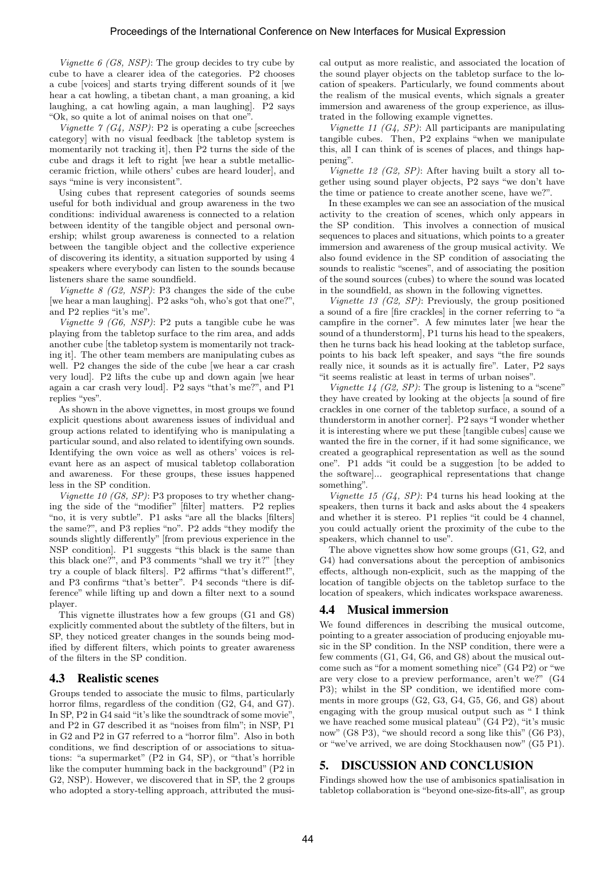Vignette  $6$  (G8, NSP): The group decides to try cube by cube to have a clearer idea of the categories. P2 chooses a cube [voices] and starts trying different sounds of it [we hear a cat howling, a tibetan chant, a man groaning, a kid laughing, a cat howling again, a man laughing]. P2 says "Ok, so quite a lot of animal noises on that one".

Vignette  $\gamma$  (G4, NSP): P2 is operating a cube [screeches] category] with no visual feedback [the tabletop system is momentarily not tracking it], then P2 turns the side of the cube and drags it left to right [we hear a subtle metallicceramic friction, while others' cubes are heard louder], and says "mine is very inconsistent".

Using cubes that represent categories of sounds seems useful for both individual and group awareness in the two conditions: individual awareness is connected to a relation between identity of the tangible object and personal ownership; whilst group awareness is connected to a relation between the tangible object and the collective experience of discovering its identity, a situation supported by using 4 speakers where everybody can listen to the sounds because listeners share the same soundfield.

Vignette  $8$  (G2, NSP): P3 changes the side of the cube [we hear a man laughing]. P2 asks "oh, who's got that one?", and P2 replies "it's me".

Vignette 9 (G6, NSP): P2 puts a tangible cube he was playing from the tabletop surface to the rim area, and adds another cube [the tabletop system is momentarily not tracking it]. The other team members are manipulating cubes as well. P2 changes the side of the cube [we hear a car crash very loud]. P2 lifts the cube up and down again [we hear again a car crash very loud]. P2 says "that's me?", and P1 replies "yes".

As shown in the above vignettes, in most groups we found explicit questions about awareness issues of individual and group actions related to identifying who is manipulating a particular sound, and also related to identifying own sounds. Identifying the own voice as well as others' voices is relevant here as an aspect of musical tabletop collaboration and awareness. For these groups, these issues happened less in the SP condition.

Vignette 10 (G8, SP): P3 proposes to try whether changing the side of the "modifier" [filter] matters. P2 replies "no, it is very subtle". P1 asks "are all the blacks [filters] the same?", and P3 replies "no". P2 adds "they modify the sounds slightly differently" [from previous experience in the NSP condition]. P1 suggests "this black is the same than this black one?", and P3 comments "shall we try it?" [they try a couple of black filters]. P2 affirms "that's different!", and P3 confirms "that's better". P4 seconds "there is difference" while lifting up and down a filter next to a sound player.

This vignette illustrates how a few groups (G1 and G8) explicitly commented about the subtlety of the filters, but in SP, they noticed greater changes in the sounds being modified by different filters, which points to greater awareness of the filters in the SP condition.

#### 4.3 Realistic scenes

Groups tended to associate the music to films, particularly horror films, regardless of the condition (G2, G4, and G7). In SP, P2 in G4 said "it's like the soundtrack of some movie", and P2 in G7 described it as "noises from film"; in NSP, P1 in G2 and P2 in G7 referred to a "horror film". Also in both conditions, we find description of or associations to situations: "a supermarket" (P2 in G4, SP), or "that's horrible like the computer humming back in the background" (P2 in G2, NSP). However, we discovered that in SP, the 2 groups who adopted a story-telling approach, attributed the musical output as more realistic, and associated the location of the sound player objects on the tabletop surface to the location of speakers. Particularly, we found comments about the realism of the musical events, which signals a greater immersion and awareness of the group experience, as illustrated in the following example vignettes.

Vignette 11  $(G_4, SP)$ : All participants are manipulating tangible cubes. Then, P2 explains "when we manipulate this, all I can think of is scenes of places, and things happening".

Vignette 12 (G2, SP): After having built a story all together using sound player objects, P2 says "we don't have the time or patience to create another scene, have we?".

In these examples we can see an association of the musical activity to the creation of scenes, which only appears in the SP condition. This involves a connection of musical sequences to places and situations, which points to a greater immersion and awareness of the group musical activity. We also found evidence in the SP condition of associating the sounds to realistic "scenes", and of associating the position of the sound sources (cubes) to where the sound was located in the soundfield, as shown in the following vignettes.

Vignette 13 (G2, SP): Previously, the group positioned a sound of a fire [fire crackles] in the corner referring to "a campfire in the corner". A few minutes later [we hear the sound of a thunderstorm], P1 turns his head to the speakers, then he turns back his head looking at the tabletop surface, points to his back left speaker, and says "the fire sounds really nice, it sounds as it is actually fire". Later, P2 says "it seems realistic at least in terms of urban noises".

Vignette  $14$  (G2, SP): The group is listening to a "scene" they have created by looking at the objects [a sound of fire crackles in one corner of the tabletop surface, a sound of a thunderstorm in another corner]. P2 says "I wonder whether it is interesting where we put these [tangible cubes] cause we wanted the fire in the corner, if it had some significance, we created a geographical representation as well as the sound one". P1 adds "it could be a suggestion [to be added to the software]... geographical representations that change something".

Vignette 15  $(G_4, SP)$ : P4 turns his head looking at the speakers, then turns it back and asks about the 4 speakers and whether it is stereo. P1 replies "it could be 4 channel, you could actually orient the proximity of the cube to the speakers, which channel to use".

The above vignettes show how some groups (G1, G2, and G4) had conversations about the perception of ambisonics effects, although non-explicit, such as the mapping of the location of tangible objects on the tabletop surface to the location of speakers, which indicates workspace awareness.

# 4.4 Musical immersion

We found differences in describing the musical outcome, pointing to a greater association of producing enjoyable music in the SP condition. In the NSP condition, there were a few comments (G1, G4, G6, and G8) about the musical outcome such as "for a moment something nice" (G4 P2) or "we are very close to a preview performance, aren't we?" (G4 P3); whilst in the SP condition, we identified more comments in more groups (G2, G3, G4, G5, G6, and G8) about engaging with the group musical output such as " I think we have reached some musical plateau" (G4 P2), "it's music now" (G8 P3), "we should record a song like this" (G6 P3), or "we've arrived, we are doing Stockhausen now" (G5 P1).

# 5. DISCUSSION AND CONCLUSION

Findings showed how the use of ambisonics spatialisation in tabletop collaboration is "beyond one-size-fits-all", as group